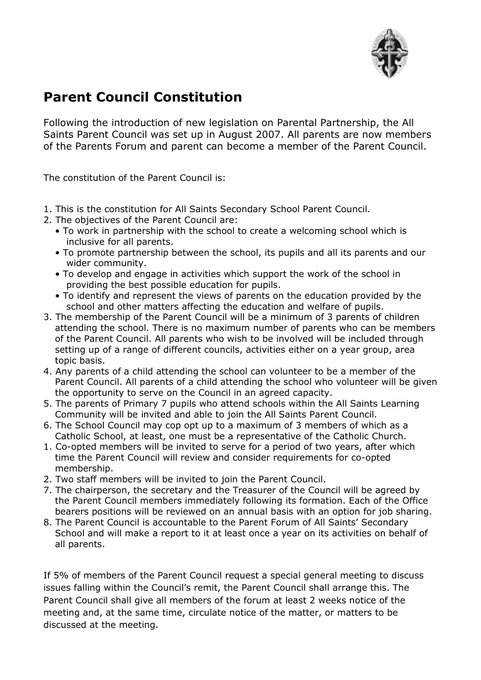

## **Parent Council Constitution**

Following the introduction of new legislation on Parental Partnership, the All Saints Parent Council was set up in August 2007. All parents are now members of the Parents Forum and parent can become a member of the Parent Council.

The constitution of the Parent Council is:

- 1. This is the constitution for All Saints Secondary School Parent Council.
- 2. The objectives of the Parent Council are:
	- To work in partnership with the school to create a welcoming school which is inclusive for all parents.
	- To promote partnership between the school, its pupils and all its parents and our wider community.
	- To develop and engage in activities which support the work of the school in providing the best possible education for pupils.
	- To identify and represent the views of parents on the education provided by the school and other matters affecting the education and welfare of pupils.
- 3. The membership of the Parent Council will be a minimum of 3 parents of children attending the school. There is no maximum number of parents who can be members of the Parent Council. All parents who wish to be involved will be included through setting up of a range of different councils, activities either on a year group, area topic basis.
- 4. Any parents of a child attending the school can volunteer to be a member of the Parent Council. All parents of a child attending the school who volunteer will be given the opportunity to serve on the Council in an agreed capacity.
- 5. The parents of Primary 7 pupils who attend schools within the All Saints Learning Community will be invited and able to join the All Saints Parent Council.
- 6. The School Council may cop opt up to a maximum of 3 members of which as a Catholic School, at least, one must be a representative of the Catholic Church.
- 1. Co-opted members will be invited to serve for a period of two years, after which time the Parent Council will review and consider requirements for co-opted membership.
- 2. Two staff members will be invited to join the Parent Council.
- 7. The chairperson, the secretary and the Treasurer of the Council will be agreed by the Parent Council members immediately following its formation. Each of the Office bearers positions will be reviewed on an annual basis with an option for job sharing.
- 8. The Parent Council is accountable to the Parent Forum of All Saints' Secondary School and will make a report to it at least once a year on its activities on behalf of all parents.

If 5% of members of the Parent Council request a special general meeting to discuss issues falling within the Council's remit, the Parent Council shall arrange this. The Parent Council shall give all members of the forum at least 2 weeks notice of the meeting and, at the same time, circulate notice of the matter, or matters to be discussed at the meeting.